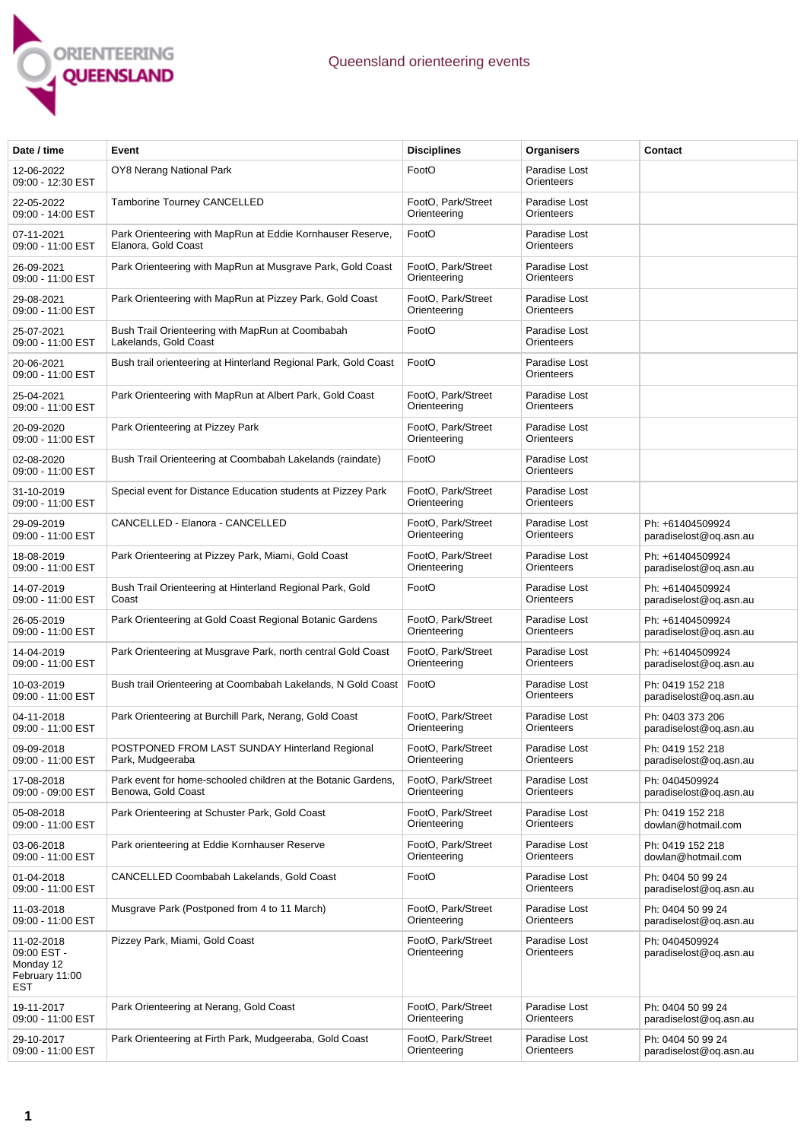

| Date / time                                                     | Event                                                                               | <b>Disciplines</b>                 | Organisers                  | Contact                                     |
|-----------------------------------------------------------------|-------------------------------------------------------------------------------------|------------------------------------|-----------------------------|---------------------------------------------|
| 12-06-2022<br>09:00 - 12:30 EST                                 | OY8 Nerang National Park                                                            | FootO                              | Paradise Lost<br>Orienteers |                                             |
| 22-05-2022<br>09:00 - 14:00 EST                                 | Tamborine Tourney CANCELLED                                                         | FootO, Park/Street<br>Orienteering | Paradise Lost<br>Orienteers |                                             |
| 07-11-2021<br>09:00 - 11:00 EST                                 | Park Orienteering with MapRun at Eddie Kornhauser Reserve,<br>Elanora, Gold Coast   | FootO                              | Paradise Lost<br>Orienteers |                                             |
| 26-09-2021<br>09:00 - 11:00 EST                                 | Park Orienteering with MapRun at Musgrave Park, Gold Coast                          | FootO, Park/Street<br>Orienteering | Paradise Lost<br>Orienteers |                                             |
| 29-08-2021<br>09:00 - 11:00 EST                                 | Park Orienteering with MapRun at Pizzey Park, Gold Coast                            | FootO, Park/Street<br>Orienteering | Paradise Lost<br>Orienteers |                                             |
| 25-07-2021<br>09:00 - 11:00 EST                                 | Bush Trail Orienteering with MapRun at Coombabah<br>Lakelands, Gold Coast           | FootO                              | Paradise Lost<br>Orienteers |                                             |
| 20-06-2021<br>09:00 - 11:00 EST                                 | Bush trail orienteering at Hinterland Regional Park, Gold Coast                     | FootO                              | Paradise Lost<br>Orienteers |                                             |
| 25-04-2021<br>09:00 - 11:00 EST                                 | Park Orienteering with MapRun at Albert Park, Gold Coast                            | FootO, Park/Street<br>Orienteering | Paradise Lost<br>Orienteers |                                             |
| 20-09-2020<br>09:00 - 11:00 EST                                 | Park Orienteering at Pizzey Park                                                    | FootO, Park/Street<br>Orienteering | Paradise Lost<br>Orienteers |                                             |
| 02-08-2020<br>09:00 - 11:00 EST                                 | Bush Trail Orienteering at Coombabah Lakelands (raindate)                           | FootO                              | Paradise Lost<br>Orienteers |                                             |
| 31-10-2019<br>09:00 - 11:00 EST                                 | Special event for Distance Education students at Pizzey Park                        | FootO, Park/Street<br>Orienteering | Paradise Lost<br>Orienteers |                                             |
| 29-09-2019<br>09:00 - 11:00 EST                                 | CANCELLED - Elanora - CANCELLED                                                     | FootO, Park/Street<br>Orienteering | Paradise Lost<br>Orienteers | Ph: +61404509924<br>paradiselost@oq.asn.au  |
| 18-08-2019<br>09:00 - 11:00 EST                                 | Park Orienteering at Pizzey Park, Miami, Gold Coast                                 | FootO, Park/Street<br>Orienteering | Paradise Lost<br>Orienteers | Ph: +61404509924<br>paradiselost@oq.asn.au  |
| 14-07-2019<br>09:00 - 11:00 EST                                 | Bush Trail Orienteering at Hinterland Regional Park, Gold<br>Coast                  | FootO                              | Paradise Lost<br>Orienteers | Ph: +61404509924<br>paradiselost@oq.asn.au  |
| 26-05-2019<br>09:00 - 11:00 EST                                 | Park Orienteering at Gold Coast Regional Botanic Gardens                            | FootO, Park/Street<br>Orienteering | Paradise Lost<br>Orienteers | Ph: +61404509924<br>paradiselost@oq.asn.au  |
| 14-04-2019<br>09:00 - 11:00 EST                                 | Park Orienteering at Musgrave Park, north central Gold Coast                        | FootO, Park/Street<br>Orienteering | Paradise Lost<br>Orienteers | Ph: +61404509924<br>paradiselost@oq.asn.au  |
| 10-03-2019<br>09:00 - 11:00 EST                                 | Bush trail Orienteering at Coombabah Lakelands, N Gold Coast                        | FootO                              | Paradise Lost<br>Orienteers | Ph: 0419 152 218<br>paradiselost@oq.asn.au  |
| 04-11-2018<br>09:00 - 11:00 EST                                 | Park Orienteering at Burchill Park, Nerang, Gold Coast                              | FootO, Park/Street<br>Orienteering | Paradise Lost<br>Orienteers | Ph: 0403 373 206<br>paradiselost@oq.asn.au  |
| 09-09-2018<br>09:00 - 11:00 EST                                 | POSTPONED FROM LAST SUNDAY Hinterland Regional<br>Park, Mudgeeraba                  | FootO, Park/Street<br>Orienteering | Paradise Lost<br>Orienteers | Ph: 0419 152 218<br>paradiselost@oq.asn.au  |
| 17-08-2018<br>09:00 - 09:00 EST                                 | Park event for home-schooled children at the Botanic Gardens,<br>Benowa, Gold Coast | FootO, Park/Street<br>Orienteering | Paradise Lost<br>Orienteers | Ph: 0404509924<br>paradiselost@oq.asn.au    |
| 05-08-2018<br>09:00 - 11:00 EST                                 | Park Orienteering at Schuster Park, Gold Coast                                      | FootO, Park/Street<br>Orienteering | Paradise Lost<br>Orienteers | Ph: 0419 152 218<br>dowlan@hotmail.com      |
| 03-06-2018<br>09:00 - 11:00 EST                                 | Park orienteering at Eddie Kornhauser Reserve                                       | FootO, Park/Street<br>Orienteering | Paradise Lost<br>Orienteers | Ph: 0419 152 218<br>dowlan@hotmail.com      |
| 01-04-2018<br>09:00 - 11:00 EST                                 | CANCELLED Coombabah Lakelands, Gold Coast                                           | FootO                              | Paradise Lost<br>Orienteers | Ph: 0404 50 99 24<br>paradiselost@oq.asn.au |
| 11-03-2018<br>09:00 - 11:00 EST                                 | Musgrave Park (Postponed from 4 to 11 March)                                        | FootO, Park/Street<br>Orienteering | Paradise Lost<br>Orienteers | Ph: 0404 50 99 24<br>paradiselost@oq.asn.au |
| 11-02-2018<br>09:00 EST -<br>Monday 12<br>February 11:00<br>EST | Pizzey Park, Miami, Gold Coast                                                      | FootO, Park/Street<br>Orienteering | Paradise Lost<br>Orienteers | Ph: 0404509924<br>paradiselost@oq.asn.au    |
| 19-11-2017<br>09:00 - 11:00 EST                                 | Park Orienteering at Nerang, Gold Coast                                             | FootO, Park/Street<br>Orienteering | Paradise Lost<br>Orienteers | Ph: 0404 50 99 24<br>paradiselost@oq.asn.au |
| 29-10-2017<br>09:00 - 11:00 EST                                 | Park Orienteering at Firth Park, Mudgeeraba, Gold Coast                             | FootO, Park/Street<br>Orienteering | Paradise Lost<br>Orienteers | Ph: 0404 50 99 24<br>paradiselost@oq.asn.au |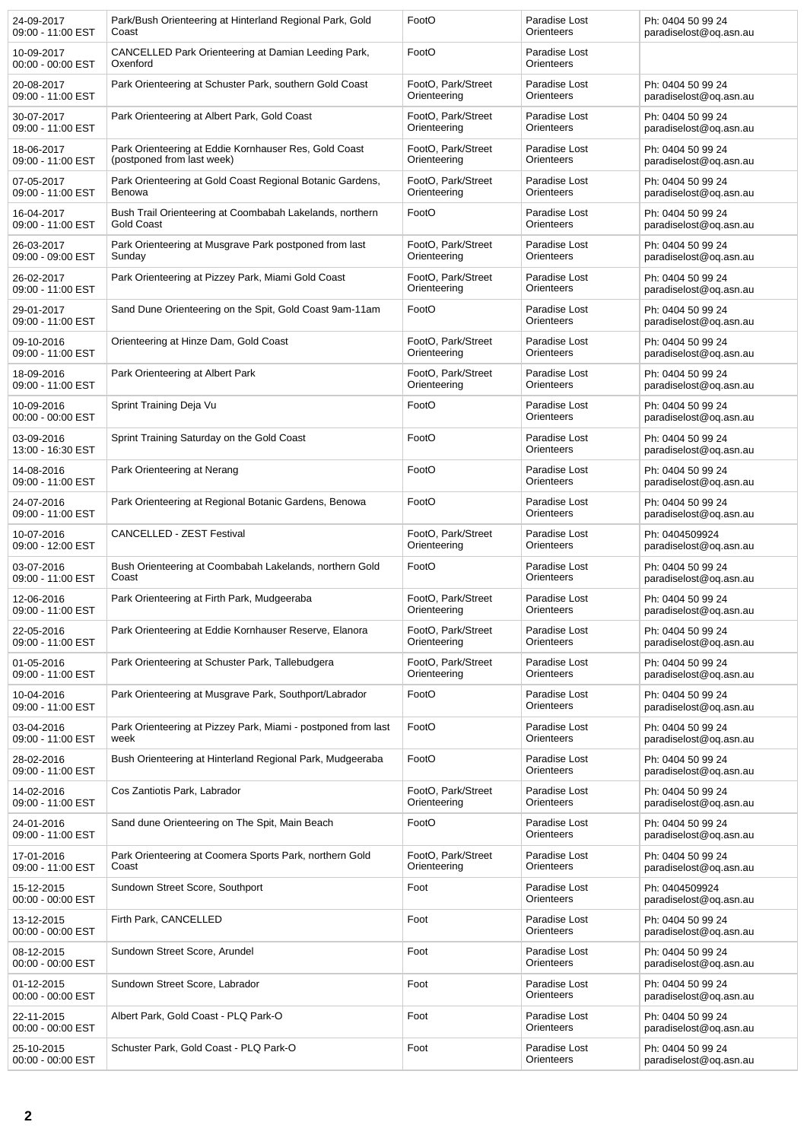| 24-09-2017                      | Park/Bush Orienteering at Hinterland Regional Park, Gold        | FootO              | Paradise Lost               | Ph: 0404 50 99 24                           |
|---------------------------------|-----------------------------------------------------------------|--------------------|-----------------------------|---------------------------------------------|
| 09:00 - 11:00 EST               | Coast                                                           |                    | Orienteers                  | paradiselost@oq.asn.au                      |
| 10-09-2017<br>00:00 - 00:00 EST | CANCELLED Park Orienteering at Damian Leeding Park,<br>Oxenford | FootO              | Paradise Lost<br>Orienteers |                                             |
| 20-08-2017                      | Park Orienteering at Schuster Park, southern Gold Coast         | FootO, Park/Street | Paradise Lost               | Ph: 0404 50 99 24                           |
| 09:00 - 11:00 EST               |                                                                 | Orienteering       | Orienteers                  | paradiselost@oq.asn.au                      |
| 30-07-2017                      | Park Orienteering at Albert Park, Gold Coast                    | FootO, Park/Street | Paradise Lost               | Ph: 0404 50 99 24                           |
| 09:00 - 11:00 EST               |                                                                 | Orienteering       | Orienteers                  | paradiselost@oq.asn.au                      |
| 18-06-2017                      | Park Orienteering at Eddie Kornhauser Res, Gold Coast           | FootO, Park/Street | Paradise Lost               | Ph: 0404 50 99 24                           |
| 09:00 - 11:00 EST               | (postponed from last week)                                      | Orienteering       | Orienteers                  | paradiselost@oq.asn.au                      |
| 07-05-2017                      | Park Orienteering at Gold Coast Regional Botanic Gardens,       | FootO, Park/Street | Paradise Lost               | Ph: 0404 50 99 24                           |
| 09:00 - 11:00 EST               | Benowa                                                          | Orienteering       | Orienteers                  | paradiselost@og.asn.au                      |
| 16-04-2017                      | Bush Trail Orienteering at Coombabah Lakelands, northern        | FootO              | Paradise Lost               | Ph: 0404 50 99 24                           |
| 09:00 - 11:00 EST               | <b>Gold Coast</b>                                               |                    | Orienteers                  | paradiselost@oq.asn.au                      |
| 26-03-2017                      | Park Orienteering at Musgrave Park postponed from last          | FootO, Park/Street | Paradise Lost               | Ph: 0404 50 99 24                           |
| 09:00 - 09:00 EST               | Sunday                                                          | Orienteering       | Orienteers                  | paradiselost@oq.asn.au                      |
| 26-02-2017                      | Park Orienteering at Pizzey Park, Miami Gold Coast              | FootO, Park/Street | Paradise Lost               | Ph: 0404 50 99 24                           |
| 09:00 - 11:00 EST               |                                                                 | Orienteering       | Orienteers                  | paradiselost@oq.asn.au                      |
| 29-01-2017<br>09:00 - 11:00 EST | Sand Dune Orienteering on the Spit, Gold Coast 9am-11am         | FootO              | Paradise Lost<br>Orienteers | Ph: 0404 50 99 24<br>paradiselost@oq.asn.au |
| 09-10-2016                      | Orienteering at Hinze Dam, Gold Coast                           | FootO, Park/Street | Paradise Lost               | Ph: 0404 50 99 24                           |
| 09:00 - 11:00 EST               |                                                                 | Orienteering       | Orienteers                  | paradiselost@og.asn.au                      |
| 18-09-2016                      | Park Orienteering at Albert Park                                | FootO, Park/Street | Paradise Lost               | Ph: 0404 50 99 24                           |
| 09:00 - 11:00 EST               |                                                                 | Orienteering       | Orienteers                  | paradiselost@oq.asn.au                      |
| 10-09-2016<br>00:00 - 00:00 EST | Sprint Training Deja Vu                                         | FootO              | Paradise Lost<br>Orienteers | Ph: 0404 50 99 24<br>paradiselost@oq.asn.au |
| 03-09-2016<br>13:00 - 16:30 EST | Sprint Training Saturday on the Gold Coast                      | FootO              | Paradise Lost<br>Orienteers | Ph: 0404 50 99 24<br>paradiselost@oq.asn.au |
| 14-08-2016<br>09:00 - 11:00 EST | Park Orienteering at Nerang                                     | FootO              | Paradise Lost<br>Orienteers | Ph: 0404 50 99 24<br>paradiselost@oq.asn.au |
| 24-07-2016<br>09:00 - 11:00 EST | Park Orienteering at Regional Botanic Gardens, Benowa           | FootO              | Paradise Lost<br>Orienteers | Ph: 0404 50 99 24<br>paradiselost@oq.asn.au |
| 10-07-2016                      | <b>CANCELLED - ZEST Festival</b>                                | FootO, Park/Street | Paradise Lost               | Ph: 0404509924                              |
| 09:00 - 12:00 EST               |                                                                 | Orienteering       | Orienteers                  | paradiselost@oq.asn.au                      |
| 03-07-2016                      | Bush Orienteering at Coombabah Lakelands, northern Gold         | FootO              | Paradise Lost               | Ph: 0404 50 99 24                           |
| 09:00 - 11:00 EST               | Coast                                                           |                    | Orienteers                  | paradiselost@oq.asn.au                      |
| 12-06-2016                      | Park Orienteering at Firth Park, Mudgeeraba                     | FootO, Park/Street | Paradise Lost               | Ph: 0404 50 99 24                           |
| 09:00 - 11:00 EST               |                                                                 | Orienteering       | Orienteers                  | paradiselost@oq.asn.au                      |
| 22-05-2016                      | Park Orienteering at Eddie Kornhauser Reserve, Elanora          | FootO, Park/Street | Paradise Lost               | Ph: 0404 50 99 24                           |
| 09:00 - 11:00 EST               |                                                                 | Orienteering       | Orienteers                  | paradiselost@oq.asn.au                      |
| 01-05-2016                      | Park Orienteering at Schuster Park, Tallebudgera                | FootO. Park/Street | Paradise Lost               | Ph: 0404 50 99 24                           |
| 09:00 - 11:00 EST               |                                                                 | Orienteering       | Orienteers                  | paradiselost@oq.asn.au                      |
| 10-04-2016<br>09:00 - 11:00 EST | Park Orienteering at Musgrave Park, Southport/Labrador          | FootO              | Paradise Lost<br>Orienteers | Ph: 0404 50 99 24<br>paradiselost@oq.asn.au |
| 03-04-2016                      | Park Orienteering at Pizzey Park, Miami - postponed from last   | FootO              | Paradise Lost               | Ph: 0404 50 99 24                           |
| 09:00 - 11:00 EST               | week                                                            |                    | Orienteers                  | paradiselost@oq.asn.au                      |
| 28-02-2016<br>09:00 - 11:00 EST | Bush Orienteering at Hinterland Regional Park, Mudgeeraba       | FootO              | Paradise Lost<br>Orienteers | Ph: 0404 50 99 24<br>paradiselost@oq.asn.au |
| 14-02-2016                      | Cos Zantiotis Park, Labrador                                    | FootO, Park/Street | Paradise Lost               | Ph: 0404 50 99 24                           |
| 09:00 - 11:00 EST               |                                                                 | Orienteering       | Orienteers                  | paradiselost@oq.asn.au                      |
| 24-01-2016<br>09:00 - 11:00 EST | Sand dune Orienteering on The Spit, Main Beach                  | FootO              | Paradise Lost<br>Orienteers | Ph: 0404 50 99 24<br>paradiselost@oq.asn.au |
| 17-01-2016                      | Park Orienteering at Coomera Sports Park, northern Gold         | FootO, Park/Street | Paradise Lost               | Ph: 0404 50 99 24                           |
| 09:00 - 11:00 EST               | Coast                                                           | Orienteering       | Orienteers                  | paradiselost@oq.asn.au                      |
| 15-12-2015<br>00:00 - 00:00 EST | Sundown Street Score, Southport                                 | Foot               | Paradise Lost<br>Orienteers | Ph: 0404509924<br>paradiselost@oq.asn.au    |
| 13-12-2015<br>00:00 - 00:00 EST | Firth Park, CANCELLED                                           | Foot               | Paradise Lost<br>Orienteers | Ph: 0404 50 99 24<br>paradiselost@oq.asn.au |
| 08-12-2015<br>00:00 - 00:00 EST | Sundown Street Score, Arundel                                   | Foot               | Paradise Lost<br>Orienteers | Ph: 0404 50 99 24<br>paradiselost@oq.asn.au |
| 01-12-2015<br>00:00 - 00:00 EST | Sundown Street Score, Labrador                                  | Foot               | Paradise Lost<br>Orienteers | Ph: 0404 50 99 24<br>paradiselost@oq.asn.au |
| 22-11-2015<br>00:00 - 00:00 EST | Albert Park, Gold Coast - PLQ Park-O                            | Foot               | Paradise Lost<br>Orienteers | Ph: 0404 50 99 24<br>paradiselost@oq.asn.au |
| 25-10-2015<br>00:00 - 00:00 EST | Schuster Park, Gold Coast - PLQ Park-O                          | Foot               | Paradise Lost<br>Orienteers | Ph: 0404 50 99 24<br>paradiselost@oq.asn.au |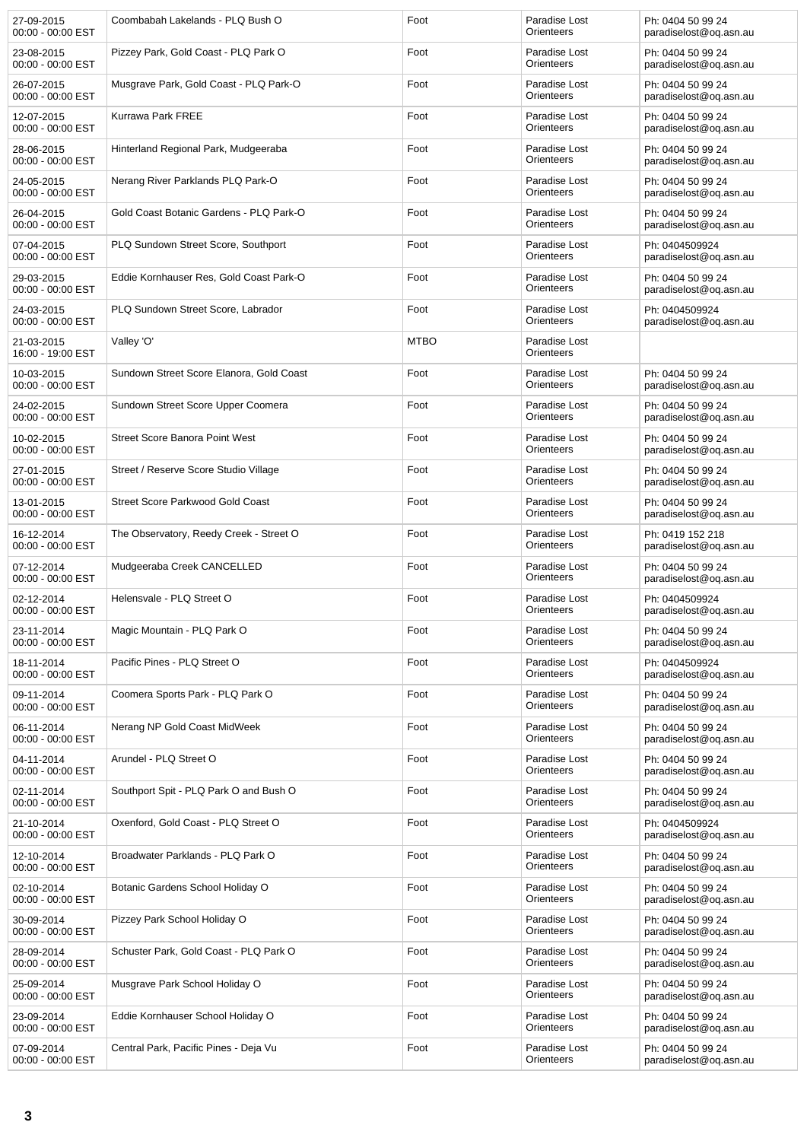| 27-09-2015<br>00:00 - 00:00 EST   | Coombabah Lakelands - PLQ Bush O         | Foot        | Paradise Lost<br>Orienteers | Ph: 0404 50 99 24<br>paradiselost@og.asn.au |
|-----------------------------------|------------------------------------------|-------------|-----------------------------|---------------------------------------------|
| 23-08-2015<br>$00:00 - 00:00$ EST | Pizzey Park, Gold Coast - PLQ Park O     | Foot        | Paradise Lost<br>Orienteers | Ph: 0404 50 99 24<br>paradiselost@oq.asn.au |
| 26-07-2015<br>$00:00 - 00:00$ EST | Musgrave Park, Gold Coast - PLQ Park-O   | Foot        | Paradise Lost<br>Orienteers | Ph: 0404 50 99 24<br>paradiselost@oq.asn.au |
| 12-07-2015<br>00:00 - 00:00 EST   | Kurrawa Park FREE                        | Foot        | Paradise Lost<br>Orienteers | Ph: 0404 50 99 24<br>paradiselost@oq.asn.au |
| 28-06-2015<br>00:00 - 00:00 EST   | Hinterland Regional Park, Mudgeeraba     | Foot        | Paradise Lost<br>Orienteers | Ph: 0404 50 99 24<br>paradiselost@oq.asn.au |
| 24-05-2015<br>00:00 - 00:00 EST   | Nerang River Parklands PLQ Park-O        | Foot        | Paradise Lost<br>Orienteers | Ph: 0404 50 99 24<br>paradiselost@oq.asn.au |
| 26-04-2015<br>00:00 - 00:00 EST   | Gold Coast Botanic Gardens - PLQ Park-O  | Foot        | Paradise Lost<br>Orienteers | Ph: 0404 50 99 24<br>paradiselost@oq.asn.au |
| 07-04-2015<br>00:00 - 00:00 EST   | PLQ Sundown Street Score, Southport      | Foot        | Paradise Lost<br>Orienteers | Ph: 0404509924<br>paradiselost@oq.asn.au    |
| 29-03-2015<br>$00:00 - 00:00$ EST | Eddie Kornhauser Res, Gold Coast Park-O  | Foot        | Paradise Lost<br>Orienteers | Ph: 0404 50 99 24<br>paradiselost@oq.asn.au |
| 24-03-2015<br>00:00 - 00:00 EST   | PLQ Sundown Street Score, Labrador       | Foot        | Paradise Lost<br>Orienteers | Ph: 0404509924<br>paradiselost@oq.asn.au    |
| 21-03-2015<br>16:00 - 19:00 EST   | Valley 'O'                               | <b>MTBO</b> | Paradise Lost<br>Orienteers |                                             |
| 10-03-2015<br>00:00 - 00:00 EST   | Sundown Street Score Elanora, Gold Coast | Foot        | Paradise Lost<br>Orienteers | Ph: 0404 50 99 24<br>paradiselost@oq.asn.au |
| 24-02-2015<br>00:00 - 00:00 EST   | Sundown Street Score Upper Coomera       | Foot        | Paradise Lost<br>Orienteers | Ph: 0404 50 99 24<br>paradiselost@oq.asn.au |
| 10-02-2015<br>00:00 - 00:00 EST   | <b>Street Score Banora Point West</b>    | Foot        | Paradise Lost<br>Orienteers | Ph: 0404 50 99 24<br>paradiselost@oq.asn.au |
| 27-01-2015<br>00:00 - 00:00 EST   | Street / Reserve Score Studio Village    | Foot        | Paradise Lost<br>Orienteers | Ph: 0404 50 99 24<br>paradiselost@oq.asn.au |
| 13-01-2015<br>00:00 - 00:00 EST   | Street Score Parkwood Gold Coast         | Foot        | Paradise Lost<br>Orienteers | Ph: 0404 50 99 24<br>paradiselost@oq.asn.au |
| 16-12-2014<br>00:00 - 00:00 EST   | The Observatory, Reedy Creek - Street O  | Foot        | Paradise Lost<br>Orienteers | Ph: 0419 152 218<br>paradiselost@oq.asn.au  |
| 07-12-2014<br>00:00 - 00:00 EST   | Mudgeeraba Creek CANCELLED               | Foot        | Paradise Lost<br>Orienteers | Ph: 0404 50 99 24<br>paradiselost@oq.asn.au |
| 02-12-2014<br>00:00 - 00:00 EST   | Helensvale - PLQ Street O                | Foot        | Paradise Lost<br>Orienteers | Ph: 0404509924<br>paradiselost@oq.asn.au    |
| 23-11-2014<br>00:00 - 00:00 EST   | Magic Mountain - PLQ Park O              | Foot        | Paradise Lost<br>Orienteers | Ph: 0404 50 99 24<br>paradiselost@oq.asn.au |
| 18-11-2014<br>00:00 - 00:00 EST   | Pacific Pines - PLQ Street O             | Foot        | Paradise Lost<br>Orienteers | Ph: 0404509924<br>paradiselost@oq.asn.au    |
| 09-11-2014<br>00:00 - 00:00 EST   | Coomera Sports Park - PLQ Park O         | Foot        | Paradise Lost<br>Orienteers | Ph: 0404 50 99 24<br>paradiselost@oq.asn.au |
| 06-11-2014<br>00:00 - 00:00 EST   | Nerang NP Gold Coast MidWeek             | Foot        | Paradise Lost<br>Orienteers | Ph: 0404 50 99 24<br>paradiselost@oq.asn.au |
| 04-11-2014<br>00:00 - 00:00 EST   | Arundel - PLQ Street O                   | Foot        | Paradise Lost<br>Orienteers | Ph: 0404 50 99 24<br>paradiselost@og.asn.au |
| 02-11-2014<br>00:00 - 00:00 EST   | Southport Spit - PLQ Park O and Bush O   | Foot        | Paradise Lost<br>Orienteers | Ph: 0404 50 99 24<br>paradiselost@oq.asn.au |
| 21-10-2014<br>00:00 - 00:00 EST   | Oxenford, Gold Coast - PLQ Street O      | Foot        | Paradise Lost<br>Orienteers | Ph: 0404509924<br>paradiselost@oq.asn.au    |
| 12-10-2014<br>00:00 - 00:00 EST   | Broadwater Parklands - PLQ Park O        | Foot        | Paradise Lost<br>Orienteers | Ph: 0404 50 99 24<br>paradiselost@oq.asn.au |
| 02-10-2014<br>00:00 - 00:00 EST   | Botanic Gardens School Holiday O         | Foot        | Paradise Lost<br>Orienteers | Ph: 0404 50 99 24<br>paradiselost@oq.asn.au |
| 30-09-2014<br>00:00 - 00:00 EST   | Pizzey Park School Holiday O             | Foot        | Paradise Lost<br>Orienteers | Ph: 0404 50 99 24<br>paradiselost@oq.asn.au |
| 28-09-2014<br>00:00 - 00:00 EST   | Schuster Park, Gold Coast - PLQ Park O   | Foot        | Paradise Lost<br>Orienteers | Ph: 0404 50 99 24<br>paradiselost@oq.asn.au |
| 25-09-2014<br>00:00 - 00:00 EST   | Musgrave Park School Holiday O           | Foot        | Paradise Lost<br>Orienteers | Ph: 0404 50 99 24<br>paradiselost@oq.asn.au |
| 23-09-2014<br>00:00 - 00:00 EST   | Eddie Kornhauser School Holiday O        | Foot        | Paradise Lost<br>Orienteers | Ph: 0404 50 99 24<br>paradiselost@oq.asn.au |
| 07-09-2014<br>00:00 - 00:00 EST   | Central Park, Pacific Pines - Deja Vu    | Foot        | Paradise Lost<br>Orienteers | Ph: 0404 50 99 24<br>paradiselost@oq.asn.au |